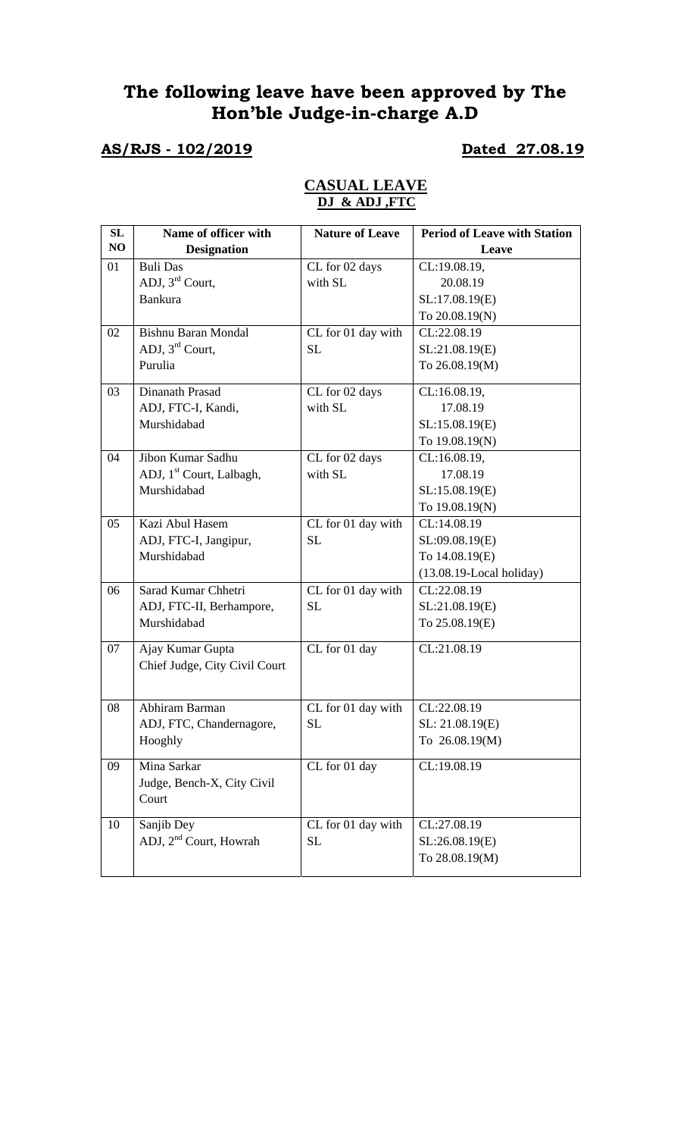# **The following leave have been approved by The Hon'ble Judge-in-charge A.D**

# **AS/RJS - 102/2019 Dated 27.08.19**

## **CASUAL LEAVE DJ & ADJ ,FTC**

| SL | Name of officer with                 | <b>Nature of Leave</b> | <b>Period of Leave with Station</b> |
|----|--------------------------------------|------------------------|-------------------------------------|
| NO | <b>Designation</b>                   |                        | Leave                               |
| 01 | <b>Buli Das</b>                      | CL for 02 days         | CL:19.08.19,                        |
|    | ADJ, $3^{\text{rd}}$ Court,          | with SL                | 20.08.19                            |
|    | <b>Bankura</b>                       |                        | SL:17.08.19(E)                      |
|    |                                      |                        | To 20.08.19(N)                      |
| 02 | <b>Bishnu Baran Mondal</b>           | CL for 01 day with     | CL:22.08.19                         |
|    | ADJ, $3^{\text{rd}}$ Court,          | <b>SL</b>              | SL:21.08.19(E)                      |
|    | Purulia                              |                        | To 26.08.19(M)                      |
| 03 | Dinanath Prasad                      | CL for 02 days         | CL:16.08.19,                        |
|    | ADJ, FTC-I, Kandi,                   | with SL                | 17.08.19                            |
|    | Murshidabad                          |                        | SL:15.08.19(E)                      |
|    |                                      |                        | To 19.08.19(N)                      |
| 04 | Jibon Kumar Sadhu                    | CL for 02 days         | CL:16.08.19,                        |
|    | ADJ, 1 <sup>st</sup> Court, Lalbagh, | with SL                | 17.08.19                            |
|    | Murshidabad                          |                        | SL:15.08.19(E)                      |
|    |                                      |                        | To 19.08.19(N)                      |
| 05 | Kazi Abul Hasem                      | CL for 01 day with     | CL:14.08.19                         |
|    | ADJ, FTC-I, Jangipur,                | <b>SL</b>              | SL:09.08.19(E)                      |
|    | Murshidabad                          |                        | To 14.08.19(E)                      |
|    |                                      |                        | $(13.08.19$ -Local holiday)         |
| 06 | Sarad Kumar Chhetri                  | CL for 01 day with     | CL:22.08.19                         |
|    | ADJ, FTC-II, Berhampore,             | <b>SL</b>              | SL:21.08.19(E)                      |
|    | Murshidabad                          |                        | To 25.08.19(E)                      |
| 07 | Ajay Kumar Gupta                     | CL for 01 day          | CL:21.08.19                         |
|    | Chief Judge, City Civil Court        |                        |                                     |
|    |                                      |                        |                                     |
| 08 | Abhiram Barman                       | CL for 01 day with     | CL:22.08.19                         |
|    | ADJ, FTC, Chandernagore,             | SL                     | SL: 21.08.19(E)                     |
|    | Hooghly                              |                        | To 26.08.19(M)                      |
| 09 | Mina Sarkar                          | CL for 01 day          | CL:19.08.19                         |
|    | Judge, Bench-X, City Civil           |                        |                                     |
|    | Court                                |                        |                                     |
|    |                                      |                        |                                     |
| 10 | Sanjib Dey                           | CL for 01 day with     | CL:27.08.19                         |
|    | ADJ, 2 <sup>nd</sup> Court, Howrah   | <b>SL</b>              | SL:26.08.19(E)                      |
|    |                                      |                        | To 28.08.19(M)                      |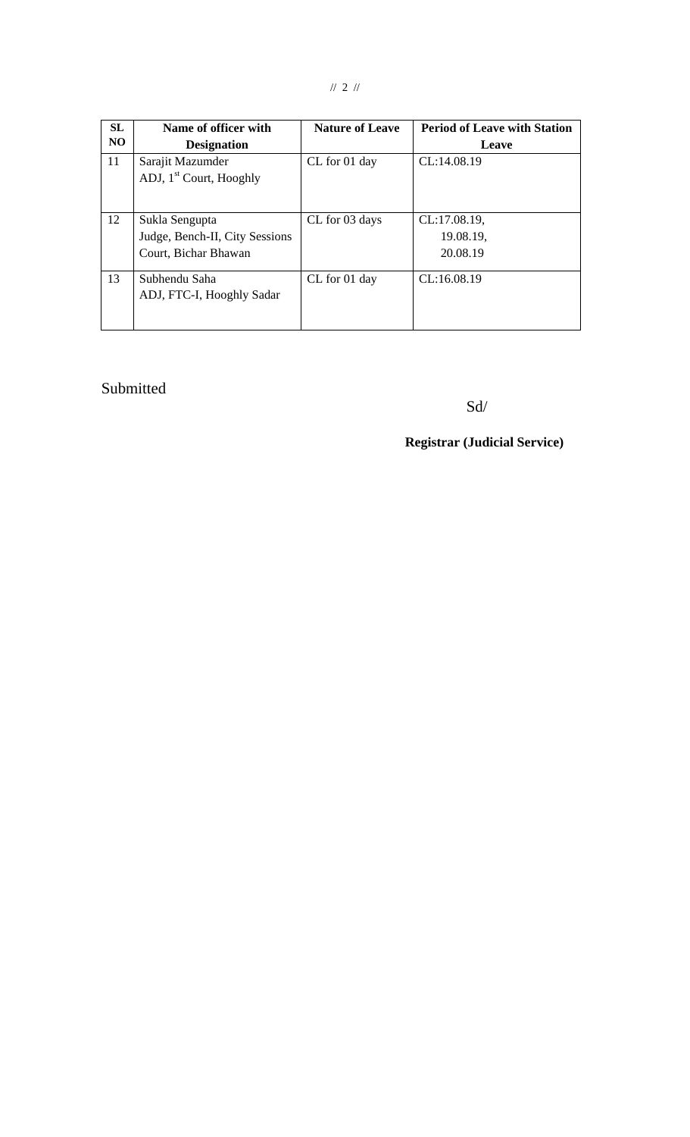| SL<br>NO. | Name of officer with<br><b>Designation</b>                               | <b>Nature of Leave</b> | <b>Period of Leave with Station</b><br><b>Leave</b> |
|-----------|--------------------------------------------------------------------------|------------------------|-----------------------------------------------------|
| 11        | Sarajit Mazumder<br>ADJ, 1 <sup>st</sup> Court, Hooghly                  | CL for 01 day          | CL:14.08.19                                         |
| 12        | Sukla Sengupta<br>Judge, Bench-II, City Sessions<br>Court, Bichar Bhawan | CL for 03 days         | CL:17.08.19,<br>19.08.19,<br>20.08.19               |
| 13        | Subhendu Saha<br>ADJ, FTC-I, Hooghly Sadar                               | CL for 01 day          | CL:16.08.19                                         |

# Submitted

Sd/

## **Registrar (Judicial Service)**